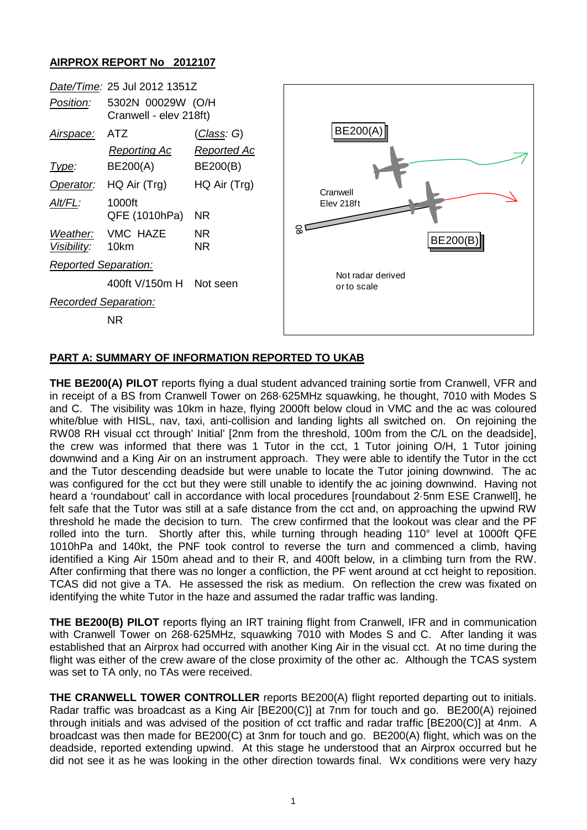# **AIRPROX REPORT No 2012107**



# **PART A: SUMMARY OF INFORMATION REPORTED TO UKAB**

**THE BE200(A) PILOT** reports flying a dual student advanced training sortie from Cranwell, VFR and in receipt of a BS from Cranwell Tower on 268·625MHz squawking, he thought, 7010 with Modes S and C. The visibility was 10km in haze, flying 2000ft below cloud in VMC and the ac was coloured white/blue with HISL, nav, taxi, anti-collision and landing lights all switched on. On rejoining the RW08 RH visual cct through' Initial' [2nm from the threshold, 100m from the C/L on the deadside], the crew was informed that there was 1 Tutor in the cct, 1 Tutor joining O/H, 1 Tutor joining downwind and a King Air on an instrument approach. They were able to identify the Tutor in the cct and the Tutor descending deadside but were unable to locate the Tutor joining downwind. The ac was configured for the cct but they were still unable to identify the ac joining downwind. Having not heard a 'roundabout' call in accordance with local procedures [roundabout 2·5nm ESE Cranwell], he felt safe that the Tutor was still at a safe distance from the cct and, on approaching the upwind RW threshold he made the decision to turn. The crew confirmed that the lookout was clear and the PF rolled into the turn. Shortly after this, while turning through heading 110° level at 1000ft QFE 1010hPa and 140kt, the PNF took control to reverse the turn and commenced a climb, having identified a King Air 150m ahead and to their R, and 400ft below, in a climbing turn from the RW. After confirming that there was no longer a confliction, the PF went around at cct height to reposition. TCAS did not give a TA. He assessed the risk as medium. On reflection the crew was fixated on identifying the white Tutor in the haze and assumed the radar traffic was landing.

**THE BE200(B) PILOT** reports flying an IRT training flight from Cranwell, IFR and in communication with Cranwell Tower on 268·625MHz, squawking 7010 with Modes S and C. After landing it was established that an Airprox had occurred with another King Air in the visual cct. At no time during the flight was either of the crew aware of the close proximity of the other ac. Although the TCAS system was set to TA only, no TAs were received.

**THE CRANWELL TOWER CONTROLLER** reports BE200(A) flight reported departing out to initials. Radar traffic was broadcast as a King Air [BE200(C)] at 7nm for touch and go. BE200(A) rejoined through initials and was advised of the position of cct traffic and radar traffic [BE200(C)] at 4nm. A broadcast was then made for BE200(C) at 3nm for touch and go. BE200(A) flight, which was on the deadside, reported extending upwind. At this stage he understood that an Airprox occurred but he did not see it as he was looking in the other direction towards final. Wx conditions were very hazy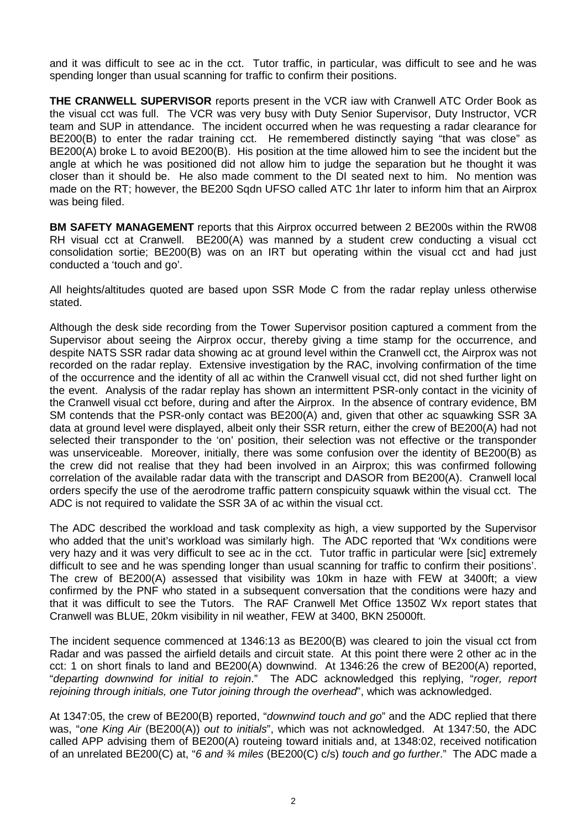and it was difficult to see ac in the cct. Tutor traffic, in particular, was difficult to see and he was spending longer than usual scanning for traffic to confirm their positions.

**THE CRANWELL SUPERVISOR** reports present in the VCR iaw with Cranwell ATC Order Book as the visual cct was full. The VCR was very busy with Duty Senior Supervisor, Duty Instructor, VCR team and SUP in attendance. The incident occurred when he was requesting a radar clearance for BE200(B) to enter the radar training cct. He remembered distinctly saying "that was close" as BE200(A) broke L to avoid BE200(B). His position at the time allowed him to see the incident but the angle at which he was positioned did not allow him to judge the separation but he thought it was closer than it should be. He also made comment to the DI seated next to him. No mention was made on the RT; however, the BE200 Sqdn UFSO called ATC 1hr later to inform him that an Airprox was being filed.

**BM SAFETY MANAGEMENT** reports that this Airprox occurred between 2 BE200s within the RW08 RH visual cct at Cranwell. BE200(A) was manned by a student crew conducting a visual cct consolidation sortie; BE200(B) was on an IRT but operating within the visual cct and had just conducted a 'touch and go'.

All heights/altitudes quoted are based upon SSR Mode C from the radar replay unless otherwise stated.

Although the desk side recording from the Tower Supervisor position captured a comment from the Supervisor about seeing the Airprox occur, thereby giving a time stamp for the occurrence, and despite NATS SSR radar data showing ac at ground level within the Cranwell cct, the Airprox was not recorded on the radar replay. Extensive investigation by the RAC, involving confirmation of the time of the occurrence and the identity of all ac within the Cranwell visual cct, did not shed further light on the event. Analysis of the radar replay has shown an intermittent PSR-only contact in the vicinity of the Cranwell visual cct before, during and after the Airprox. In the absence of contrary evidence, BM SM contends that the PSR-only contact was BE200(A) and, given that other ac squawking SSR 3A data at ground level were displayed, albeit only their SSR return, either the crew of BE200(A) had not selected their transponder to the 'on' position, their selection was not effective or the transponder was unserviceable. Moreover, initially, there was some confusion over the identity of BE200(B) as the crew did not realise that they had been involved in an Airprox; this was confirmed following correlation of the available radar data with the transcript and DASOR from BE200(A). Cranwell local orders specify the use of the aerodrome traffic pattern conspicuity squawk within the visual cct. The ADC is not required to validate the SSR 3A of ac within the visual cct.

The ADC described the workload and task complexity as high, a view supported by the Supervisor who added that the unit's workload was similarly high. The ADC reported that 'Wx conditions were very hazy and it was very difficult to see ac in the cct. Tutor traffic in particular were [sic] extremely difficult to see and he was spending longer than usual scanning for traffic to confirm their positions'. The crew of BE200(A) assessed that visibility was 10km in haze with FEW at 3400ft; a view confirmed by the PNF who stated in a subsequent conversation that the conditions were hazy and that it was difficult to see the Tutors. The RAF Cranwell Met Office 1350Z Wx report states that Cranwell was BLUE, 20km visibility in nil weather, FEW at 3400, BKN 25000ft.

The incident sequence commenced at 1346:13 as BE200(B) was cleared to join the visual cct from Radar and was passed the airfield details and circuit state. At this point there were 2 other ac in the cct: 1 on short finals to land and BE200(A) downwind. At 1346:26 the crew of BE200(A) reported, "*departing downwind for initial to rejoin*." The ADC acknowledged this replying, "*roger, report rejoining through initials, one Tutor joining through the overhead*", which was acknowledged.

At 1347:05, the crew of BE200(B) reported, "*downwind touch and go*" and the ADC replied that there was, "*one King Air* (BE200(A)) *out to initials*", which was not acknowledged. At 1347:50, the ADC called APP advising them of BE200(A) routeing toward initials and, at 1348:02, received notification of an unrelated BE200(C) at, "*6 and ¾ miles* (BE200(C) c/s) *touch and go further*." The ADC made a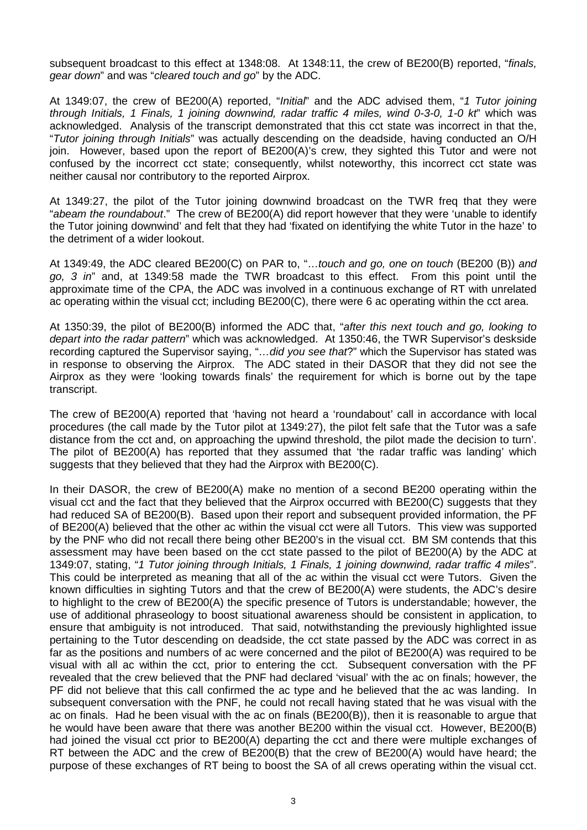subsequent broadcast to this effect at 1348:08. At 1348:11, the crew of BE200(B) reported, "*finals, gear down*" and was "*cleared touch and go*" by the ADC.

At 1349:07, the crew of BE200(A) reported, "*Initial*" and the ADC advised them, "*1 Tutor joining through Initials, 1 Finals, 1 joining downwind, radar traffic 4 miles, wind 0-3-0, 1-0 kt*" which was acknowledged. Analysis of the transcript demonstrated that this cct state was incorrect in that the, "*Tutor joining through Initials*" was actually descending on the deadside, having conducted an O/H join. However, based upon the report of BE200(A)'s crew, they sighted this Tutor and were not confused by the incorrect cct state; consequently, whilst noteworthy, this incorrect cct state was neither causal nor contributory to the reported Airprox.

At 1349:27, the pilot of the Tutor joining downwind broadcast on the TWR freq that they were "*abeam the roundabout*." The crew of BE200(A) did report however that they were 'unable to identify the Tutor joining downwind' and felt that they had 'fixated on identifying the white Tutor in the haze' to the detriment of a wider lookout.

At 1349:49, the ADC cleared BE200(C) on PAR to, "…*touch and go, one on touch* (BE200 (B)) *and go, 3 in*" and, at 1349:58 made the TWR broadcast to this effect. From this point until the approximate time of the CPA, the ADC was involved in a continuous exchange of RT with unrelated ac operating within the visual cct; including BE200(C), there were 6 ac operating within the cct area.

At 1350:39, the pilot of BE200(B) informed the ADC that, "*after this next touch and go, looking to depart into the radar pattern*" which was acknowledged. At 1350:46, the TWR Supervisor's deskside recording captured the Supervisor saying, "*…did you see that*?" which the Supervisor has stated was in response to observing the Airprox. The ADC stated in their DASOR that they did not see the Airprox as they were 'looking towards finals' the requirement for which is borne out by the tape transcript.

The crew of BE200(A) reported that 'having not heard a 'roundabout' call in accordance with local procedures (the call made by the Tutor pilot at 1349:27), the pilot felt safe that the Tutor was a safe distance from the cct and, on approaching the upwind threshold, the pilot made the decision to turn'. The pilot of BE200(A) has reported that they assumed that 'the radar traffic was landing' which suggests that they believed that they had the Airprox with BE200(C).

In their DASOR, the crew of BE200(A) make no mention of a second BE200 operating within the visual cct and the fact that they believed that the Airprox occurred with BE200(C) suggests that they had reduced SA of BE200(B). Based upon their report and subsequent provided information, the PF of BE200(A) believed that the other ac within the visual cct were all Tutors. This view was supported by the PNF who did not recall there being other BE200's in the visual cct. BM SM contends that this assessment may have been based on the cct state passed to the pilot of BE200(A) by the ADC at 1349:07, stating, "*1 Tutor joining through Initials, 1 Finals, 1 joining downwind, radar traffic 4 miles*". This could be interpreted as meaning that all of the ac within the visual cct were Tutors. Given the known difficulties in sighting Tutors and that the crew of BE200(A) were students, the ADC's desire to highlight to the crew of BE200(A) the specific presence of Tutors is understandable; however, the use of additional phraseology to boost situational awareness should be consistent in application, to ensure that ambiguity is not introduced. That said, notwithstanding the previously highlighted issue pertaining to the Tutor descending on deadside, the cct state passed by the ADC was correct in as far as the positions and numbers of ac were concerned and the pilot of BE200(A) was required to be visual with all ac within the cct, prior to entering the cct. Subsequent conversation with the PF revealed that the crew believed that the PNF had declared 'visual' with the ac on finals; however, the PF did not believe that this call confirmed the ac type and he believed that the ac was landing. In subsequent conversation with the PNF, he could not recall having stated that he was visual with the ac on finals. Had he been visual with the ac on finals (BE200(B)), then it is reasonable to argue that he would have been aware that there was another BE200 within the visual cct. However, BE200(B) had joined the visual cct prior to BE200(A) departing the cct and there were multiple exchanges of RT between the ADC and the crew of BE200(B) that the crew of BE200(A) would have heard; the purpose of these exchanges of RT being to boost the SA of all crews operating within the visual cct.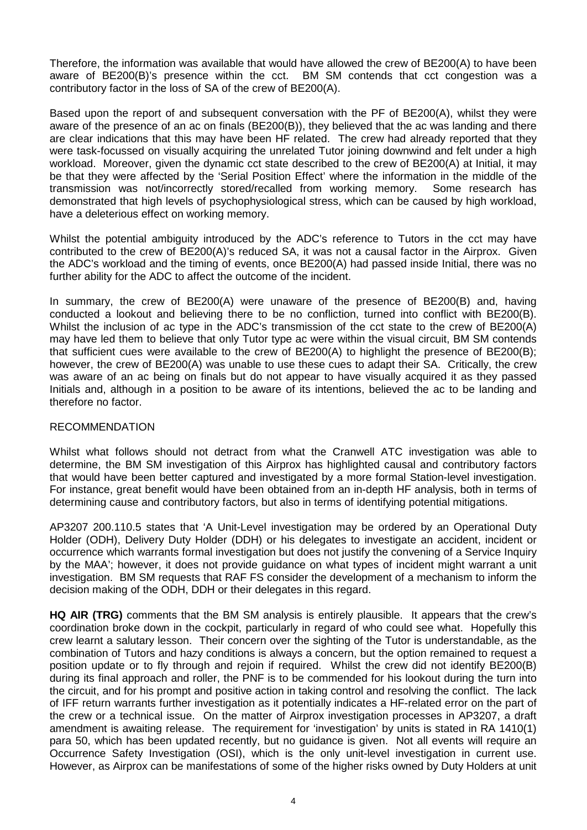Therefore, the information was available that would have allowed the crew of BE200(A) to have been aware of BE200(B)'s presence within the cct. BM SM contends that cct congestion was a contributory factor in the loss of SA of the crew of BE200(A).

Based upon the report of and subsequent conversation with the PF of BE200(A), whilst they were aware of the presence of an ac on finals (BE200(B)), they believed that the ac was landing and there are clear indications that this may have been HF related. The crew had already reported that they were task-focussed on visually acquiring the unrelated Tutor joining downwind and felt under a high workload. Moreover, given the dynamic cct state described to the crew of BE200(A) at Initial, it may be that they were affected by the 'Serial Position Effect' where the information in the middle of the transmission was not/incorrectly stored/recalled from working memory. Some research has transmission was not/incorrectly stored/recalled from working memory. demonstrated that high levels of psychophysiological stress, which can be caused by high workload, have a deleterious effect on working memory.

Whilst the potential ambiguity introduced by the ADC's reference to Tutors in the cct may have contributed to the crew of BE200(A)'s reduced SA, it was not a causal factor in the Airprox. Given the ADC's workload and the timing of events, once BE200(A) had passed inside Initial, there was no further ability for the ADC to affect the outcome of the incident.

In summary, the crew of BE200(A) were unaware of the presence of BE200(B) and, having conducted a lookout and believing there to be no confliction, turned into conflict with BE200(B). Whilst the inclusion of ac type in the ADC's transmission of the cct state to the crew of BE200(A) may have led them to believe that only Tutor type ac were within the visual circuit, BM SM contends that sufficient cues were available to the crew of BE200(A) to highlight the presence of BE200(B); however, the crew of BE200(A) was unable to use these cues to adapt their SA. Critically, the crew was aware of an ac being on finals but do not appear to have visually acquired it as they passed Initials and, although in a position to be aware of its intentions, believed the ac to be landing and therefore no factor.

### RECOMMENDATION

Whilst what follows should not detract from what the Cranwell ATC investigation was able to determine, the BM SM investigation of this Airprox has highlighted causal and contributory factors that would have been better captured and investigated by a more formal Station-level investigation. For instance, great benefit would have been obtained from an in-depth HF analysis, both in terms of determining cause and contributory factors, but also in terms of identifying potential mitigations.

AP3207 200.110.5 states that 'A Unit-Level investigation may be ordered by an Operational Duty Holder (ODH), Delivery Duty Holder (DDH) or his delegates to investigate an accident, incident or occurrence which warrants formal investigation but does not justify the convening of a Service Inquiry by the MAA'; however, it does not provide guidance on what types of incident might warrant a unit investigation. BM SM requests that RAF FS consider the development of a mechanism to inform the decision making of the ODH, DDH or their delegates in this regard.

**HQ AIR (TRG)** comments that the BM SM analysis is entirely plausible. It appears that the crew's coordination broke down in the cockpit, particularly in regard of who could see what. Hopefully this crew learnt a salutary lesson. Their concern over the sighting of the Tutor is understandable, as the combination of Tutors and hazy conditions is always a concern, but the option remained to request a position update or to fly through and rejoin if required. Whilst the crew did not identify BE200(B) during its final approach and roller, the PNF is to be commended for his lookout during the turn into the circuit, and for his prompt and positive action in taking control and resolving the conflict. The lack of IFF return warrants further investigation as it potentially indicates a HF-related error on the part of the crew or a technical issue. On the matter of Airprox investigation processes in AP3207, a draft amendment is awaiting release. The requirement for 'investigation' by units is stated in RA 1410(1) para 50, which has been updated recently, but no guidance is given. Not all events will require an Occurrence Safety Investigation (OSI), which is the only unit-level investigation in current use. However, as Airprox can be manifestations of some of the higher risks owned by Duty Holders at unit